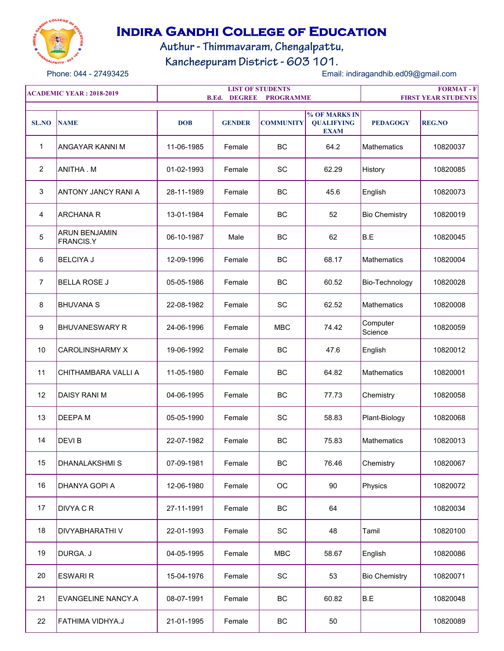

## **Indira Gandhi College of Education**

Authur - Thimmavaram, Chengalpattu,

**FORMAT - F**

Kancheepuram District - 603 101.

Phone: 044 - 27493425 Email: indiragandhib.ed09@gmail.com

**SL.NO NAME DOB GENDER COMMUNITY % OF MARKS IN QUALIFYING EXAM PEDAGOGY REG.NO** 1 | ANGAYAR KANNI M | 11-06-1985 | Female | BC | 64.2 | Mathematics | 10820037 2 |ANITHA M | 01-02-1993 | Female | SC | 62.29 |History | 10820085 3 ANTONY JANCY RANI A 28-11-1989 Female BC 45.6 English 10820073 4 |ARCHANA R Female | BC | 52 Bio Chemistry | 10820019 5 ARUN BENJAMIN FRANCIS.Y BC 62 B.E 10820045 6 BELCIYA J 12-09-1996 Female BC 68.17 Mathematics 10820004 7 BELLA ROSE J 05-05-1986 Female BC 60.52 Bio-Technology 10820028 8 |BHUVANA S | 22-08-1982 | Female | SC | 62.52 |Mathematics | 10820008 9 BHUVANESWARY R 24-06-1996 Female MBC 74.42 Computer Science <sup>10820059</sup> 10 CAROLINSHARMY X 19-06-1992 Female BC 47.6 English 10820012 11 CHITHAMBARA VALLIA | 11-05-1980 | Female | BC | 64.82 | Mathematics | 10820001 12 DAISY RANI M 04-06-1995 Female BC 77.73 Chemistry 10820058 13 |DEEPA M | 05-05-1990 | Female | SC | 58.83 |Plant-Biology | 10820068 14 DEVI B 22-07-1982 Female BC 75.83 Mathematics 10820013 15 DHANALAKSHMI S 07-09-1981 Female BC 76.46 Chemistry 10820067 16 DHANYA GOPI A 12-06-1980 Female OC 90 Physics 10820072 17 |DIVYA C R | 27-11-1991 | Female | BC | 64 | | 10820034 18 DIVYABHARATHI V 22-01-1993 Female SC 48 Tamil 10820100 19 |DURGA. J | 04-05-1995 | Female | MBC | 58.67 |English | 10820086 20 |ESWARI R | 15-04-1976 | Female | SC | 53 |Bio Chemistry | 10820071 21 EVANGELINE NANCY.A 08-07-1991 Female BC 60.82 B.E 10820048 **ACADEMIC YEAR : 2018-2019 LIST OF STUDENTS B.Ed. DEGREE PROGRAMME FIRST YEAR STUDENTS** 

22 FATHIMA VIDHYA.J 21-01-1995 Female BC 50 10820089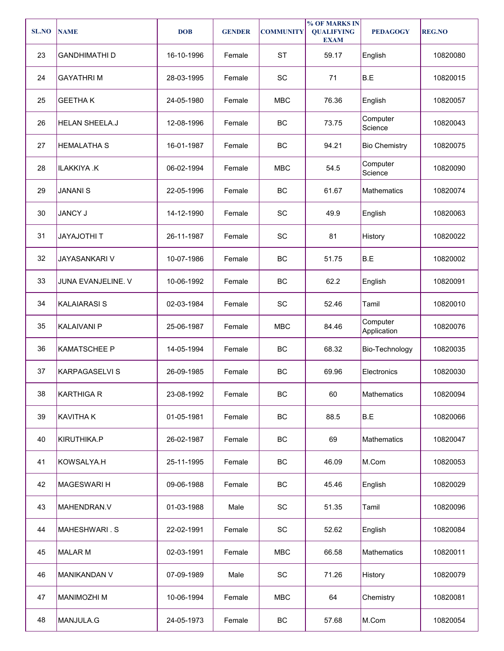| <b>SL.NO</b> | <b>NAME</b>           | <b>DOB</b> | <b>GENDER</b> | <b>COMMUNITY</b> | % OF MARKS IN<br><b>QUALIFYING</b><br><b>EXAM</b> | <b>PEDAGOGY</b>         | <b>REG.NO</b> |
|--------------|-----------------------|------------|---------------|------------------|---------------------------------------------------|-------------------------|---------------|
| 23           | <b>GANDHIMATHI D</b>  | 16-10-1996 | Female        | <b>ST</b>        | 59.17                                             | English                 | 10820080      |
| 24           | <b>GAYATHRIM</b>      | 28-03-1995 | Female        | SC               | 71                                                | B.E                     | 10820015      |
| 25           | <b>GEETHAK</b>        | 24-05-1980 | Female        | <b>MBC</b>       | 76.36                                             | English                 | 10820057      |
| 26           | <b>HELAN SHEELA.J</b> | 12-08-1996 | Female        | BC               | 73.75                                             | Computer<br>Science     | 10820043      |
| 27           | <b>HEMALATHA S</b>    | 16-01-1987 | Female        | <b>BC</b>        | 94.21                                             | <b>Bio Chemistry</b>    | 10820075      |
| 28           | ILAKKIYA .K           | 06-02-1994 | Female        | <b>MBC</b>       | 54.5                                              | Computer<br>Science     | 10820090      |
| 29           | <b>JANANIS</b>        | 22-05-1996 | Female        | BC               | 61.67                                             | <b>Mathematics</b>      | 10820074      |
| 30           | <b>JANCY J</b>        | 14-12-1990 | Female        | SC               | 49.9                                              | English                 | 10820063      |
| 31           | <b>JAYAJOTHIT</b>     | 26-11-1987 | Female        | SC               | 81                                                | History                 | 10820022      |
| 32           | JAYASANKARI V         | 10-07-1986 | Female        | BC               | 51.75                                             | B.E                     | 10820002      |
| 33           | JUNA EVANJELINE. V    | 10-06-1992 | Female        | <b>BC</b>        | 62.2                                              | English                 | 10820091      |
| 34           | <b>KALAIARASIS</b>    | 02-03-1984 | Female        | <b>SC</b>        | 52.46                                             | Tamil                   | 10820010      |
| 35           | <b>KALAIVANI P</b>    | 25-06-1987 | Female        | <b>MBC</b>       | 84.46                                             | Computer<br>Application | 10820076      |
| 36           | <b>KAMATSCHEE P</b>   | 14-05-1994 | Female        | BC               | 68.32                                             | Bio-Technology          | 10820035      |
| 37           | <b>KARPAGASELVIS</b>  | 26-09-1985 | Female        | BC               | 69.96                                             | Electronics             | 10820030      |
| 38           | <b>KARTHIGA R</b>     | 23-08-1992 | Female        | BC               | 60                                                | Mathematics             | 10820094      |
| 39           | <b>KAVITHAK</b>       | 01-05-1981 | Female        | BC               | 88.5                                              | B.E                     | 10820066      |
| 40           | KIRUTHIKA.P           | 26-02-1987 | Female        | BC               | 69                                                | Mathematics             | 10820047      |
| 41           | KOWSALYA.H            | 25-11-1995 | Female        | BC               | 46.09                                             | M.Com                   | 10820053      |
| 42           | <b>MAGESWARI H</b>    | 09-06-1988 | Female        | BC               | 45.46                                             | English                 | 10820029      |
| 43           | MAHENDRAN.V           | 01-03-1988 | Male          | SC               | 51.35                                             | Tamil                   | 10820096      |
| 44           | MAHESHWARI.S          | 22-02-1991 | Female        | SC               | 52.62                                             | English                 | 10820084      |
| 45           | <b>MALAR M</b>        | 02-03-1991 | Female        | <b>MBC</b>       | 66.58                                             | Mathematics             | 10820011      |
| 46           | <b>MANIKANDAN V</b>   | 07-09-1989 | Male          | SC               | 71.26                                             | History                 | 10820079      |
| 47           | <b>MANIMOZHI M</b>    | 10-06-1994 | Female        | <b>MBC</b>       | 64                                                | Chemistry               | 10820081      |
| 48           | MANJULA.G             | 24-05-1973 | Female        | BC               | 57.68                                             | M.Com                   | 10820054      |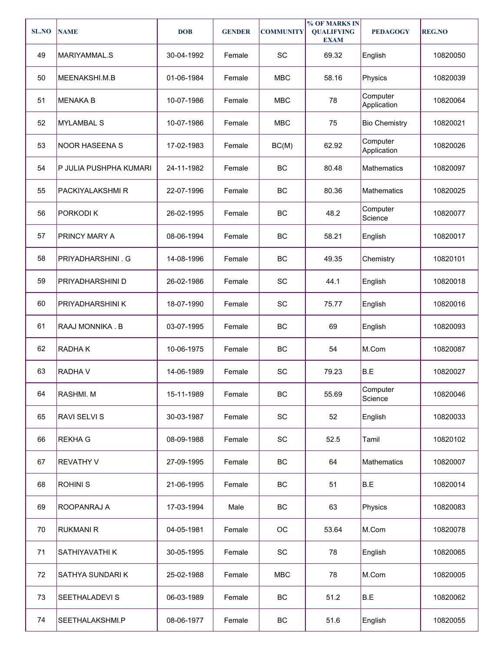| <b>SL.NO</b> | <b>NAME</b>            | <b>DOB</b> | <b>GENDER</b> | <b>COMMUNITY</b> | % OF MARKS IN<br><b>QUALIFYING</b><br><b>EXAM</b> | <b>PEDAGOGY</b>         | <b>REG.NO</b> |
|--------------|------------------------|------------|---------------|------------------|---------------------------------------------------|-------------------------|---------------|
| 49           | MARIYAMMAL.S           | 30-04-1992 | Female        | SC               | 69.32                                             | English                 | 10820050      |
| 50           | MEENAKSHI.M.B          | 01-06-1984 | Female        | <b>MBC</b>       | 58.16                                             | Physics                 | 10820039      |
| 51           | <b>MENAKA B</b>        | 10-07-1986 | Female        | <b>MBC</b>       | 78                                                | Computer<br>Application | 10820064      |
| 52           | <b>MYLAMBAL S</b>      | 10-07-1986 | Female        | <b>MBC</b>       | 75                                                | <b>Bio Chemistry</b>    | 10820021      |
| 53           | <b>NOOR HASEENA S</b>  | 17-02-1983 | Female        | BC(M)            | 62.92                                             | Computer<br>Application | 10820026      |
| 54           | P JULIA PUSHPHA KUMARI | 24-11-1982 | Female        | BC               | 80.48                                             | <b>Mathematics</b>      | 10820097      |
| 55           | PACKIYALAKSHMI R       | 22-07-1996 | Female        | BC               | 80.36<br><b>Mathematics</b>                       |                         | 10820025      |
| 56           | PORKODI K              | 26-02-1995 | Female        | BC               | 48.2                                              | Computer<br>Science     | 10820077      |
| 57           | PRINCY MARY A          | 08-06-1994 | Female        | BC               | 58.21                                             | English                 | 10820017      |
| 58           | PRIYADHARSHINI . G     | 14-08-1996 | Female        | BC               | 49.35                                             | Chemistry               | 10820101      |
| 59           | PRIYADHARSHINI D       | 26-02-1986 | Female        | SC               | 44.1                                              | English                 | 10820018      |
| 60           | PRIYADHARSHINI K       | 18-07-1990 | Female        | SC               | 75.77                                             | English                 | 10820016      |
| 61           | RAAJ MONNIKA. B        | 03-07-1995 | Female        | BC               | 69                                                | English                 | 10820093      |
| 62           | RADHAK                 | 10-06-1975 | Female        | BC               | 54                                                | M.Com                   | 10820087      |
| 63           | <b>RADHAV</b>          | 14-06-1989 | Female        | SC               | 79.23                                             | B.E                     | 10820027      |
| 64           | RASHMI. M              | 15-11-1989 | Female        | BC               | 55.69                                             | Computer<br>Science     | 10820046      |
| 65           | RAVI SELVI S           | 30-03-1987 | Female        | SC               | 52                                                | English                 | 10820033      |
| 66           | <b>REKHA G</b>         | 08-09-1988 | Female        | SC               | 52.5                                              | Tamil                   | 10820102      |
| 67           | <b>REVATHY V</b>       | 27-09-1995 | Female        | BC               | 64                                                | Mathematics             | 10820007      |
| 68           | <b>ROHINIS</b>         | 21-06-1995 | Female        | BC               | 51                                                | B.E                     | 10820014      |
| 69           | ROOPANRAJ A            | 17-03-1994 | Male          | BC               | 63                                                | Physics                 | 10820083      |
| 70           | <b>RUKMANI R</b>       | 04-05-1981 | Female        | ОC               | 53.64                                             | M.Com                   | 10820078      |
| 71           | SATHIYAVATHI K         | 30-05-1995 | Female        | SC               | 78                                                | English                 | 10820065      |
| 72           | SATHYA SUNDARI K       | 25-02-1988 | Female        | <b>MBC</b>       | 78                                                | M.Com                   | 10820005      |
| 73           | <b>SEETHALADEVI S</b>  | 06-03-1989 | Female        | BC               | 51.2                                              | B.E                     | 10820062      |
| 74           | SEETHALAKSHMI.P        | 08-06-1977 | Female        | BC               | 51.6                                              | English                 | 10820055      |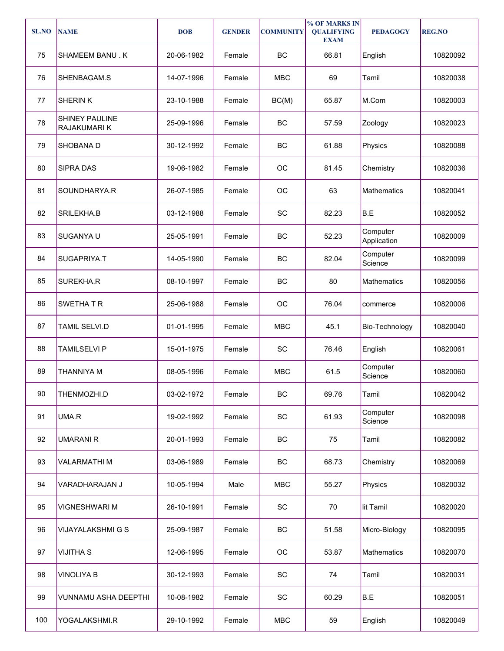| <b>SL.NO</b> | <b>NAME</b>                    | <b>DOB</b> | <b>GENDER</b> | <b>COMMUNITY</b> | % OF MARKS IN<br><b>QUALIFYING</b><br><b>EXAM</b> | <b>PEDAGOGY</b>         | <b>REG.NO</b> |
|--------------|--------------------------------|------------|---------------|------------------|---------------------------------------------------|-------------------------|---------------|
| 75           | SHAMEEM BANU.K                 | 20-06-1982 | Female        | BC               | 66.81                                             | English                 | 10820092      |
| 76           | SHENBAGAM.S                    | 14-07-1996 | Female        | <b>MBC</b>       | 69                                                | Tamil                   | 10820038      |
| 77           | <b>SHERINK</b>                 | 23-10-1988 | Female        | BC(M)            | 65.87                                             | M.Com                   | 10820003      |
| 78           | SHINEY PAULINE<br>RAJAKUMARI K | 25-09-1996 | Female        | BC               | 57.59                                             | Zoology                 | 10820023      |
| 79           | SHOBANA D                      | 30-12-1992 | Female        | BC               | 61.88                                             | Physics                 | 10820088      |
| 80           | <b>SIPRA DAS</b>               | 19-06-1982 | Female        | OC               | 81.45                                             | Chemistry               | 10820036      |
| 81           | SOUNDHARYA.R                   | 26-07-1985 | Female        | OC               | 63                                                | <b>Mathematics</b>      | 10820041      |
| 82           | SRILEKHA.B                     | 03-12-1988 | Female        | SC               | 82.23                                             | B.E                     | 10820052      |
| 83           | SUGANYA U                      | 25-05-1991 | Female        | BC               | 52.23                                             | Computer<br>Application | 10820009      |
| 84           | SUGAPRIYA.T                    | 14-05-1990 | Female        | BC               | 82.04                                             | Computer<br>Science     | 10820099      |
| 85           | SUREKHA.R                      | 08-10-1997 | Female        | BC               | 80                                                | Mathematics             | 10820056      |
| 86           | SWETHAT R                      | 25-06-1988 | Female        | OC               | 76.04                                             | commerce                | 10820006      |
| 87           | <b>TAMIL SELVI.D</b>           | 01-01-1995 | Female        | <b>MBC</b>       | 45.1                                              | Bio-Technology          | 10820040      |
| 88           | <b>TAMILSELVI P</b>            | 15-01-1975 | Female        | SC               | 76.46                                             | English                 | 10820061      |
| 89           | THANNIYA M                     | 08-05-1996 | Female        | <b>MBC</b>       | 61.5                                              | Computer<br>Science     | 10820060      |
| 90           | THENMOZHI.D                    | 03-02-1972 | Female        | BC               | 69.76                                             | Tamil                   | 10820042      |
| 91           | UMA.R                          | 19-02-1992 | Female        | SC               | 61.93                                             | Computer<br>Science     | 10820098      |
| 92           | <b>UMARANIR</b>                | 20-01-1993 | Female        | BC               | 75                                                | Tamil                   | 10820082      |
| 93           | VALARMATHI M                   | 03-06-1989 | Female        | BC               | 68.73                                             | Chemistry               | 10820069      |
| 94           | VARADHARAJAN J                 | 10-05-1994 | Male          | <b>MBC</b>       | 55.27                                             | Physics                 | 10820032      |
| 95           | <b>VIGNESHWARI M</b>           | 26-10-1991 | Female        | SC               | 70                                                | lit Tamil               | 10820020      |
| 96           | VIJAYALAKSHMI G S              | 25-09-1987 | Female        | BC               | 51.58                                             | Micro-Biology           | 10820095      |
| 97           | <b>VIJITHA S</b>               | 12-06-1995 | Female        | OC               | 53.87                                             | Mathematics             | 10820070      |
| 98           | <b>VINOLIYA B</b>              | 30-12-1993 | Female        | SC               | 74                                                | Tamil                   | 10820031      |
| 99           | <b>VUNNAMU ASHA DEEPTHI</b>    | 10-08-1982 | Female        | SC               | 60.29                                             | B.E                     | 10820051      |
| 100          | YOGALAKSHMI.R                  | 29-10-1992 | Female        | <b>MBC</b>       | 59                                                | English                 | 10820049      |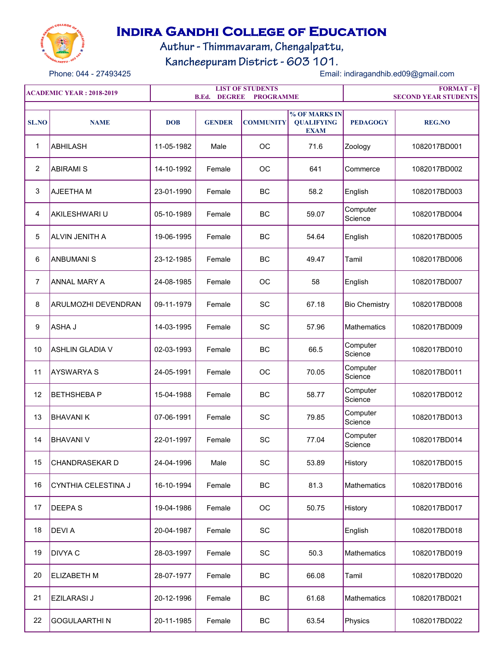

## **Indira Gandhi College of Education**

Authur - Thimmavaram, Chengalpattu,

Kancheepuram District - 603 101.

Phone: 044 - 27493425 Email: indiragandhib.ed09@gmail.com

| <b>ACADEMIC YEAR : 2018-2019</b> |                            |            | <b>DEGREE</b><br>B.Ed. | <b>LIST OF STUDENTS</b><br><b>PROGRAMME</b> | <b>FORMAT-F</b><br><b>SECOND YEAR STUDENTS</b>    |                      |               |
|----------------------------------|----------------------------|------------|------------------------|---------------------------------------------|---------------------------------------------------|----------------------|---------------|
| <b>SL.NO</b>                     | <b>NAME</b>                | <b>DOB</b> | <b>GENDER</b>          | <b>COMMUNITY</b>                            | % OF MARKS IN<br><b>QUALIFYING</b><br><b>EXAM</b> | <b>PEDAGOGY</b>      | <b>REG.NO</b> |
| $\mathbf 1$                      | ABHILASH                   | 11-05-1982 | Male                   | OC                                          | 71.6                                              | Zoology              | 1082017BD001  |
| $\overline{2}$                   | <b>ABIRAMI S</b>           | 14-10-1992 | Female                 | OC                                          | 641                                               | Commerce             | 1082017BD002  |
| 3                                | <b>AJEETHAM</b>            | 23-01-1990 | Female                 | <b>BC</b>                                   | 58.2                                              | English              | 1082017BD003  |
| 4                                | AKILESHWARI U              | 05-10-1989 | Female                 | BC                                          | 59.07                                             | Computer<br>Science  | 1082017BD004  |
| 5                                | <b>ALVIN JENITH A</b>      | 19-06-1995 | Female                 | BC                                          | 54.64                                             | English              | 1082017BD005  |
| 6                                | <b>ANBUMANIS</b>           | 23-12-1985 | Female                 | <b>BC</b>                                   | 49.47                                             | Tamil                | 1082017BD006  |
| 7                                | <b>ANNAL MARY A</b>        | 24-08-1985 | Female                 | OC                                          | 58                                                | English              | 1082017BD007  |
| 8                                | <b>ARULMOZHI DEVENDRAN</b> | 09-11-1979 | Female                 | SC                                          | 67.18                                             | <b>Bio Chemistry</b> | 1082017BD008  |
| 9                                | ASHA J                     | 14-03-1995 | Female                 | SC                                          | 57.96                                             | <b>Mathematics</b>   | 1082017BD009  |
| 10                               | ÍASHLIN GLADIA V           | 02-03-1993 | Female                 | <b>BC</b>                                   | 66.5                                              | Computer<br>Science  | 1082017BD010  |
| 11                               | <b>AYSWARYA S</b>          | 24-05-1991 | Female                 | OC                                          | 70.05                                             | Computer<br>Science  | 1082017BD011  |
| 12                               | <b>BETHSHEBAP</b>          | 15-04-1988 | Female                 | <b>BC</b>                                   | 58.77                                             | Computer<br>Science  | 1082017BD012  |
| 13                               | <b>BHAVANIK</b>            | 07-06-1991 | Female                 | SC                                          | 79.85                                             | Computer<br>Science  | 1082017BD013  |
| 14                               | <b>BHAVANI V</b>           | 22-01-1997 | Female                 | SC                                          | 77.04                                             | Computer<br>Science  | 1082017BD014  |
| 15                               | <b>CHANDRASEKAR D</b>      | 24-04-1996 | Male                   | SC                                          | 53.89                                             | History              | 1082017BD015  |
| 16                               | CYNTHIA CELESTINA J        | 16-10-1994 | Female                 | BC                                          | 81.3                                              | Mathematics          | 1082017BD016  |
| 17                               | <b>DEEPAS</b>              | 19-04-1986 | Female                 | ОC                                          | 50.75                                             | History              | 1082017BD017  |
| 18                               | <b>DEVIA</b>               | 20-04-1987 | Female                 | SC                                          |                                                   | English              | 1082017BD018  |
| 19                               | <b>DIVYA C</b>             | 28-03-1997 | Female                 | SC                                          | 50.3                                              | Mathematics          | 1082017BD019  |
| 20                               | <b>ELIZABETH M</b>         | 28-07-1977 | Female                 | BC                                          | 66.08                                             | Tamil                | 1082017BD020  |
| 21                               | <b>EZILARASI J</b>         | 20-12-1996 | Female                 | BC                                          | 61.68                                             | Mathematics          | 1082017BD021  |
| 22                               | GOGULAARTHI N              | 20-11-1985 | Female                 | BC                                          | 63.54                                             | Physics              | 1082017BD022  |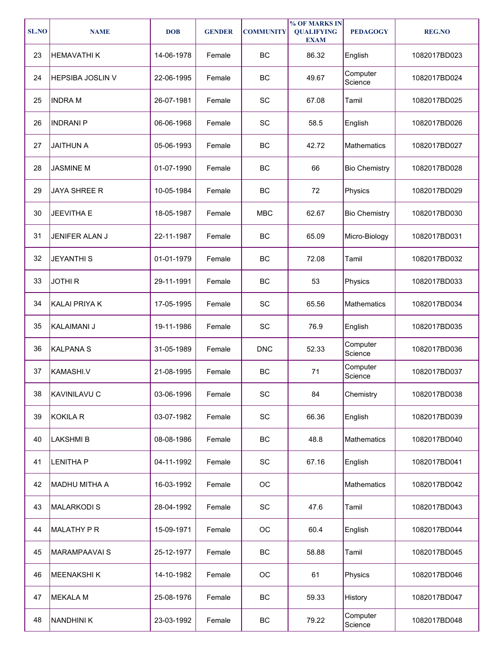| <b>SL.NO</b> | <b>NAME</b>             | <b>DOB</b> | <b>GENDER</b> | <b>COMMUNITY</b>             | % OF MARKS IN<br><b>QUALIFYING</b><br><b>EXAM</b> | <b>PEDAGOGY</b>      | <b>REG.NO</b> |
|--------------|-------------------------|------------|---------------|------------------------------|---------------------------------------------------|----------------------|---------------|
| 23           | <b>HEMAVATHIK</b>       | 14-06-1978 | Female        | BC                           | 86.32                                             | English              | 1082017BD023  |
| 24           | <b>HEPSIBA JOSLIN V</b> | 22-06-1995 | Female        | <b>BC</b>                    | 49.67                                             | Computer<br>Science  | 1082017BD024  |
| 25           | <b>INDRA M</b>          | 26-07-1981 | Female        | SC                           | 67.08                                             | Tamil                | 1082017BD025  |
| 26           | <b>INDRANIP</b>         | 06-06-1968 | Female        | SC                           | 58.5                                              | English              | 1082017BD026  |
| 27           | <b>JAITHUN A</b>        | 05-06-1993 | Female        | BC                           | 42.72                                             | <b>Mathematics</b>   | 1082017BD027  |
| 28           | <b>JASMINE M</b>        | 01-07-1990 | Female        | BC                           | 66                                                | <b>Bio Chemistry</b> | 1082017BD028  |
| 29           | <b>JAYA SHREE R</b>     | 10-05-1984 | Female        | BC                           | 72                                                | Physics              | 1082017BD029  |
| 30           | <b>JEEVITHA E</b>       | 18-05-1987 | Female        | <b>MBC</b>                   | 62.67                                             | <b>Bio Chemistry</b> | 1082017BD030  |
| 31           | JENIFER ALAN J          | 22-11-1987 | Female        | BC                           | 65.09                                             | Micro-Biology        | 1082017BD031  |
| 32           | <b>JEYANTHI S</b>       | 01-01-1979 | Female        | <b>BC</b>                    | 72.08                                             | Tamil                | 1082017BD032  |
| 33           | <b>JOTHIR</b>           | 29-11-1991 | Female        | <b>BC</b>                    | 53                                                | Physics              | 1082017BD033  |
| 34           | <b>KALAI PRIYA K</b>    | 17-05-1995 | Female        | SC                           | 65.56                                             | Mathematics          | 1082017BD034  |
| 35           | KALAIMANI J             | 19-11-1986 | Female        | SC                           | 76.9                                              | English              | 1082017BD035  |
| 36           | <b>KALPANA S</b>        | 31-05-1989 | Female        | <b>DNC</b>                   | 52.33                                             | Computer<br>Science  | 1082017BD036  |
| 37           | KAMASHI.V               | 21-08-1995 | Female        | BC                           | 71                                                | Computer<br>Science  | 1082017BD037  |
| 38           | KAVINILAVU C            | 03-06-1996 | Female        | SC                           | 84                                                | Chemistry            | 1082017BD038  |
| 39           | <b>KOKILA R</b>         | 03-07-1982 | Female        | SC                           | 66.36                                             | English              | 1082017BD039  |
| 40           | <b>LAKSHMIB</b>         | 08-08-1986 | Female        | BC                           | 48.8                                              | <b>Mathematics</b>   | 1082017BD040  |
| 41           | <b>LENITHA P</b>        | 04-11-1992 | Female        | $\operatorname{\textsf{SC}}$ | 67.16                                             | English              | 1082017BD041  |
| 42           | MADHU MITHA A           | 16-03-1992 | Female        | $_{\rm OC}$                  |                                                   | Mathematics          | 1082017BD042  |
| 43           | <b>MALARKODIS</b>       | 28-04-1992 | Female        | $\operatorname{\textsf{SC}}$ | 47.6                                              | Tamil                | 1082017BD043  |
| 44           | <b>MALATHY P R</b>      | 15-09-1971 | Female        | OC                           | 60.4                                              | English              | 1082017BD044  |
| 45           | <b>MARAMPAAVAI S</b>    | 25-12-1977 | Female        | BC                           | 58.88                                             | Tamil                | 1082017BD045  |
| 46           | <b>MEENAKSHIK</b>       | 14-10-1982 | Female        | $_{\rm OC}$                  | 61                                                | Physics              | 1082017BD046  |
| 47           | <b>MEKALA M</b>         | 25-08-1976 | Female        | BC                           | 59.33                                             | History              | 1082017BD047  |
| 48           | <b>NANDHINI K</b>       | 23-03-1992 | Female        | BC                           | 79.22                                             | Computer<br>Science  | 1082017BD048  |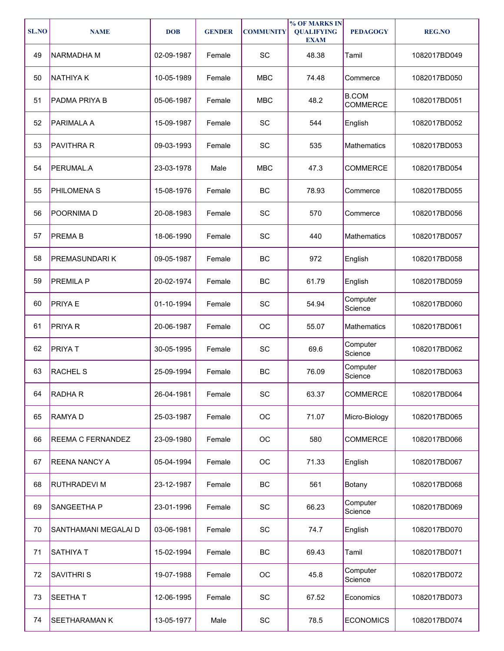| <b>SL.NO</b> | <b>NAME</b>              | <b>DOB</b> | <b>GENDER</b> | <b>COMMUNITY</b>             | % OF MARKS IN<br><b>QUALIFYING</b><br><b>EXAM</b> | <b>PEDAGOGY</b>                 | <b>REG.NO</b> |
|--------------|--------------------------|------------|---------------|------------------------------|---------------------------------------------------|---------------------------------|---------------|
| 49           | NARMADHA M               | 02-09-1987 | Female        | SC                           | 48.38                                             | Tamil                           | 1082017BD049  |
| 50           | <b>NATHIYAK</b>          | 10-05-1989 | Female        | <b>MBC</b>                   | 74.48                                             | Commerce                        | 1082017BD050  |
| 51           | <b>PADMA PRIYA B</b>     | 05-06-1987 | Female        | <b>MBC</b>                   | 48.2                                              | <b>B.COM</b><br><b>COMMERCE</b> | 1082017BD051  |
| 52           | PARIMALA A               | 15-09-1987 | Female        | SC                           | 544                                               | English                         | 1082017BD052  |
| 53           | <b>PAVITHRA R</b>        | 09-03-1993 | Female        | SC                           | 535                                               | <b>Mathematics</b>              | 1082017BD053  |
| 54           | PERUMAL.A                | 23-03-1978 | Male          | <b>MBC</b>                   | 47.3                                              | <b>COMMERCE</b>                 | 1082017BD054  |
| 55           | <b>PHILOMENAS</b>        | 15-08-1976 | Female        | BC                           | 78.93                                             | Commerce                        | 1082017BD055  |
| 56           | POORNIMA D               | 20-08-1983 | Female        | SC                           | 570                                               | Commerce                        | 1082017BD056  |
| 57           | <b>PREMAB</b>            | 18-06-1990 | Female        | SC                           | 440                                               | Mathematics                     | 1082017BD057  |
| 58           | PREMASUNDARI K           | 09-05-1987 | Female        | BC                           | 972                                               | English                         | 1082017BD058  |
| 59           | PREMILA P                | 20-02-1974 | Female        | <b>BC</b>                    | 61.79                                             | English                         | 1082017BD059  |
| 60           | <b>PRIYAE</b>            | 01-10-1994 | Female        | SC                           | 54.94                                             | Computer<br>Science             | 1082017BD060  |
| 61           | <b>PRIYAR</b>            | 20-06-1987 | Female        | ОC                           | 55.07                                             | Mathematics                     | 1082017BD061  |
| 62           | <b>PRIYAT</b>            | 30-05-1995 | Female        | SC                           | 69.6                                              | Computer<br>Science             | 1082017BD062  |
| 63           | <b>RACHEL S</b>          | 25-09-1994 | Female        | BC                           | 76.09                                             | Computer<br>Science             | 1082017BD063  |
| 64           | RADHA R                  | 26-04-1981 | Female        | SC                           | 63.37                                             | COMMERCE                        | 1082017BD064  |
| 65           | RAMYA D                  | 25-03-1987 | Female        | OC                           | 71.07                                             | Micro-Biology                   | 1082017BD065  |
| 66           | <b>REEMA C FERNANDEZ</b> | 23-09-1980 | Female        | OC                           | 580                                               | <b>COMMERCE</b>                 | 1082017BD066  |
| 67           | <b>REENA NANCY A</b>     | 05-04-1994 | Female        | OC                           | 71.33                                             | English                         | 1082017BD067  |
| 68           | RUTHRADEVI M             | 23-12-1987 | Female        | BC                           | 561                                               | Botany                          | 1082017BD068  |
| 69           | SANGEETHA P              | 23-01-1996 | Female        | SC                           | 66.23                                             | Computer<br>Science             | 1082017BD069  |
| 70           | SANTHAMANI MEGALAI D     | 03-06-1981 | Female        | $\operatorname{\textsf{SC}}$ | 74.7                                              | English                         | 1082017BD070  |
| 71           | SATHIYA T                | 15-02-1994 | Female        | BC                           | 69.43                                             | Tamil                           | 1082017BD071  |
| 72           | <b>SAVITHRIS</b>         | 19-07-1988 | Female        | ОC                           | 45.8                                              | Computer<br>Science             | 1082017BD072  |
| 73           | <b>SEETHAT</b>           | 12-06-1995 | Female        | SC                           | 67.52                                             | Economics                       | 1082017BD073  |
| 74           | SEETHARAMAN K            | 13-05-1977 | Male          | $\operatorname{\textsf{SC}}$ | 78.5                                              | <b>ECONOMICS</b>                | 1082017BD074  |